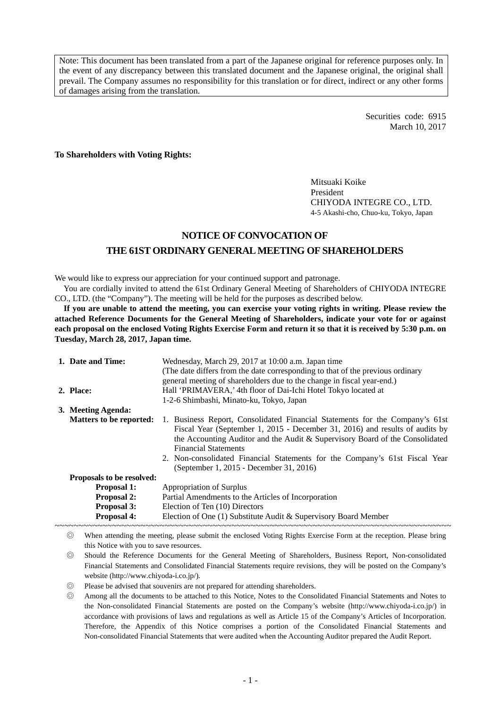Note: This document has been translated from a part of the Japanese original for reference purposes only. In the event of any discrepancy between this translated document and the Japanese original, the original shall prevail. The Company assumes no responsibility for this translation or for direct, indirect or any other forms of damages arising from the translation.

> Securities code: 6915 March 10, 2017

**To Shareholders with Voting Rights:** 

Mitsuaki Koike President CHIYODA INTEGRE CO., LTD. 4-5 Akashi-cho, Chuo-ku, Tokyo, Japan

## **NOTICE OF CONVOCATION OF THE 61ST ORDINARY GENERAL MEETING OF SHAREHOLDERS**

We would like to express our appreciation for your continued support and patronage.

You are cordially invited to attend the 61st Ordinary General Meeting of Shareholders of CHIYODA INTEGRE CO., LTD. (the "Company"). The meeting will be held for the purposes as described below.

**If you are unable to attend the meeting, you can exercise your voting rights in writing. Please review the attached Reference Documents for the General Meeting of Shareholders, indicate your vote for or against each proposal on the enclosed Voting Rights Exercise Form and return it so that it is received by 5:30 p.m. on Tuesday, March 28, 2017, Japan time.** 

|                           | 1. Date and Time:              | Wednesday, March 29, 2017 at 10:00 a.m. Japan time<br>(The date differs from the date corresponding to that of the previous ordinary<br>general meeting of shareholders due to the change in fiscal year-end.)                                                                                                                                                                                        |  |  |
|---------------------------|--------------------------------|-------------------------------------------------------------------------------------------------------------------------------------------------------------------------------------------------------------------------------------------------------------------------------------------------------------------------------------------------------------------------------------------------------|--|--|
|                           | 2. Place:                      | Hall 'PRIMAVERA,' 4th floor of Dai-Ichi Hotel Tokyo located at                                                                                                                                                                                                                                                                                                                                        |  |  |
|                           |                                | 1-2-6 Shimbashi, Minato-ku, Tokyo, Japan                                                                                                                                                                                                                                                                                                                                                              |  |  |
|                           | 3. Meeting Agenda:             |                                                                                                                                                                                                                                                                                                                                                                                                       |  |  |
|                           | <b>Matters to be reported:</b> | 1. Business Report, Consolidated Financial Statements for the Company's 61st<br>Fiscal Year (September 1, 2015 - December 31, 2016) and results of audits by<br>the Accounting Auditor and the Audit & Supervisory Board of the Consolidated<br><b>Financial Statements</b><br>2. Non-consolidated Financial Statements for the Company's 61st Fiscal Year<br>(September 1, 2015 - December 31, 2016) |  |  |
| Proposals to be resolved: |                                |                                                                                                                                                                                                                                                                                                                                                                                                       |  |  |
|                           | <b>Proposal 1:</b>             | Appropriation of Surplus                                                                                                                                                                                                                                                                                                                                                                              |  |  |
|                           | <b>Proposal 2:</b>             | Partial Amendments to the Articles of Incorporation                                                                                                                                                                                                                                                                                                                                                   |  |  |
|                           | <b>Proposal 3:</b>             | Election of Ten (10) Directors                                                                                                                                                                                                                                                                                                                                                                        |  |  |
|                           | <b>Proposal 4:</b>             | Election of One (1) Substitute Audit & Supervisory Board Member                                                                                                                                                                                                                                                                                                                                       |  |  |
|                           |                                |                                                                                                                                                                                                                                                                                                                                                                                                       |  |  |

◎ When attending the meeting, please submit the enclosed Voting Rights Exercise Form at the reception. Please bring this Notice with you to save resources.

◎ Should the Reference Documents for the General Meeting of Shareholders, Business Report, Non-consolidated Financial Statements and Consolidated Financial Statements require revisions, they will be posted on the Company's website (http://www.chiyoda-i.co.jp/).

◎ Please be advised that souvenirs are not prepared for attending shareholders.

◎ Among all the documents to be attached to this Notice, Notes to the Consolidated Financial Statements and Notes to the Non-consolidated Financial Statements are posted on the Company's website (http://www.chiyoda-i.co.jp/) in accordance with provisions of laws and regulations as well as Article 15 of the Company's Articles of Incorporation. Therefore, the Appendix of this Notice comprises a portion of the Consolidated Financial Statements and Non-consolidated Financial Statements that were audited when the Accounting Auditor prepared the Audit Report.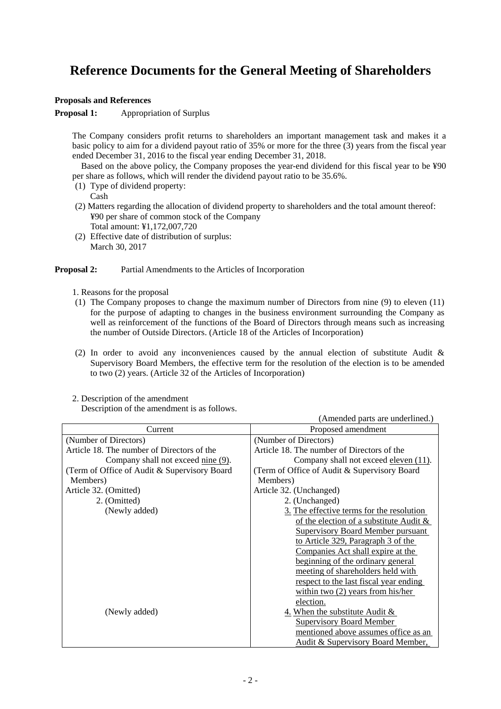# **Reference Documents for the General Meeting of Shareholders**

#### **Proposals and References**

**Proposal 1:** Appropriation of Surplus

The Company considers profit returns to shareholders an important management task and makes it a basic policy to aim for a dividend payout ratio of 35% or more for the three (3) years from the fiscal year ended December 31, 2016 to the fiscal year ending December 31, 2018.

 Based on the above policy, the Company proposes the year-end dividend for this fiscal year to be ¥90 per share as follows, which will render the dividend payout ratio to be 35.6%.

(1) Type of dividend property:

Cash

- (2) Matters regarding the allocation of dividend property to shareholders and the total amount thereof: ¥90 per share of common stock of the Company Total amount: ¥1,172,007,720
- (2) Effective date of distribution of surplus: March 30, 2017

#### **Proposal 2:** Partial Amendments to the Articles of Incorporation

- 1. Reasons for the proposal
- (1) The Company proposes to change the maximum number of Directors from nine (9) to eleven (11) for the purpose of adapting to changes in the business environment surrounding the Company as well as reinforcement of the functions of the Board of Directors through means such as increasing the number of Outside Directors. (Article 18 of the Articles of Incorporation)
- (2) In order to avoid any inconveniences caused by the annual election of substitute Audit & Supervisory Board Members, the effective term for the resolution of the election is to be amended to two (2) years. (Article 32 of the Articles of Incorporation)
- 2. Description of the amendment

Description of the amendment is as follows.

|                                               | (Amended parts are underlined.)               |
|-----------------------------------------------|-----------------------------------------------|
| Current                                       | Proposed amendment                            |
| (Number of Directors)                         | (Number of Directors)                         |
| Article 18. The number of Directors of the    | Article 18. The number of Directors of the    |
| Company shall not exceed <u>nine</u> (9).     | Company shall not exceed eleven (11).         |
| (Term of Office of Audit & Supervisory Board) | (Term of Office of Audit & Supervisory Board) |
| Members)                                      | Members)                                      |
| Article 32. (Omitted)                         | Article 32. (Unchanged)                       |
| 2. (Omitted)                                  | 2. (Unchanged)                                |
| (Newly added)                                 | 3. The effective terms for the resolution     |
|                                               | of the election of a substitute Audit $\&$    |
|                                               | <b>Supervisory Board Member pursuant</b>      |
|                                               | to Article 329, Paragraph 3 of the            |
|                                               | Companies Act shall expire at the             |
|                                               | beginning of the ordinary general             |
|                                               | meeting of shareholders held with             |
|                                               | respect to the last fiscal year ending        |
|                                               | within two $(2)$ years from his/her           |
|                                               | election.                                     |
| (Newly added)                                 | 4. When the substitute Audit $\&$             |
|                                               | <b>Supervisory Board Member</b>               |
|                                               | mentioned above assumes office as an          |
|                                               | Audit & Supervisory Board Member,             |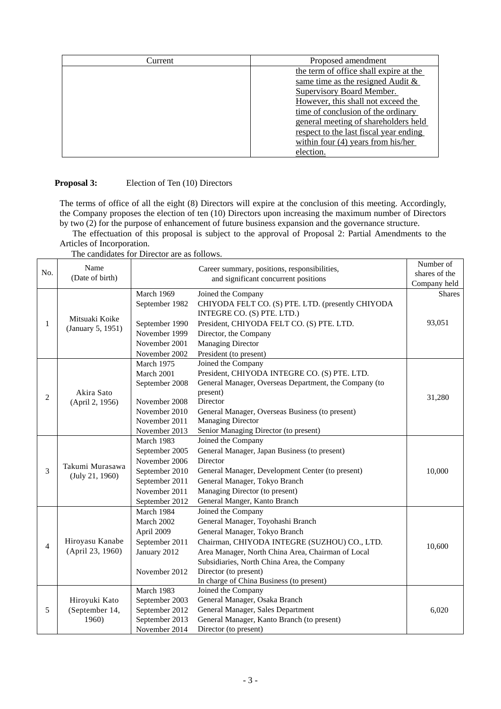| Current | Proposed amendment                     |
|---------|----------------------------------------|
|         | the term of office shall expire at the |
|         | same time as the resigned Audit $\&$   |
|         | Supervisory Board Member.              |
|         | However, this shall not exceed the     |
|         | time of conclusion of the ordinary     |
|         | general meeting of shareholders held   |
|         | respect to the last fiscal year ending |
|         | within four $(4)$ years from his/her   |
|         | election.                              |

### **Proposal 3:** Election of Ten (10) Directors

The terms of office of all the eight (8) Directors will expire at the conclusion of this meeting. Accordingly, the Company proposes the election of ten (10) Directors upon increasing the maximum number of Directors by two (2) for the purpose of enhancement of future business expansion and the governance structure.

The effectuation of this proposal is subject to the approval of Proposal 2: Partial Amendments to the Articles of Incorporation.

The candidates for Director are as follows.

|                | Name                                |                | Career summary, positions, responsibilities,          | Number of     |
|----------------|-------------------------------------|----------------|-------------------------------------------------------|---------------|
| No.            | (Date of birth)                     |                | and significant concurrent positions                  | shares of the |
|                |                                     |                |                                                       | Company held  |
| 1              | Mitsuaki Koike<br>(January 5, 1951) | March 1969     | Joined the Company                                    | <b>Shares</b> |
|                |                                     | September 1982 | CHIYODA FELT CO. (S) PTE. LTD. (presently CHIYODA     |               |
|                |                                     |                | INTEGRE CO. (S) PTE. LTD.)                            |               |
|                |                                     | September 1990 | President, CHIYODA FELT CO. (S) PTE. LTD.             | 93,051        |
|                |                                     | November 1999  | Director, the Company                                 |               |
|                |                                     | November 2001  | <b>Managing Director</b>                              |               |
|                |                                     | November 2002  | President (to present)                                |               |
|                |                                     | March 1975     | Joined the Company                                    |               |
|                |                                     | March 2001     | President, CHIYODA INTEGRE CO. (S) PTE. LTD.          |               |
|                |                                     | September 2008 | General Manager, Overseas Department, the Company (to |               |
| $\overline{c}$ | Akira Sato                          |                | present)                                              | 31,280        |
|                | (April 2, 1956)                     | November 2008  | Director                                              |               |
|                |                                     | November 2010  | General Manager, Overseas Business (to present)       |               |
|                |                                     | November 2011  | <b>Managing Director</b>                              |               |
|                |                                     | November 2013  | Senior Managing Director (to present)                 |               |
|                |                                     | March 1983     | Joined the Company                                    |               |
|                |                                     | September 2005 | General Manager, Japan Business (to present)          |               |
|                | Takumi Murasawa<br>(July 21, 1960)  | November 2006  | Director                                              |               |
| 3              |                                     | September 2010 | General Manager, Development Center (to present)      | 10,000        |
|                |                                     | September 2011 | General Manager, Tokyo Branch                         |               |
|                |                                     | November 2011  | Managing Director (to present)                        |               |
|                |                                     | September 2012 | General Manger, Kanto Branch                          |               |
|                |                                     | March 1984     | Joined the Company                                    |               |
|                |                                     | March 2002     | General Manager, Toyohashi Branch                     |               |
|                |                                     | April 2009     | General Manager, Tokyo Branch                         |               |
| $\overline{4}$ | Hiroyasu Kanabe                     | September 2011 | Chairman, CHIYODA INTEGRE (SUZHOU) CO., LTD.          | 10,600        |
|                | (April 23, 1960)                    | January 2012   | Area Manager, North China Area, Chairman of Local     |               |
|                |                                     |                | Subsidiaries, North China Area, the Company           |               |
|                |                                     | November 2012  | Director (to present)                                 |               |
|                |                                     |                | In charge of China Business (to present)              |               |
|                |                                     | March 1983     | Joined the Company                                    |               |
|                | Hiroyuki Kato                       | September 2003 | General Manager, Osaka Branch                         |               |
| 5              | (September 14,                      | September 2012 | General Manager, Sales Department                     | 6,020         |
|                | 1960)                               | September 2013 | General Manager, Kanto Branch (to present)            |               |
|                |                                     | November 2014  | Director (to present)                                 |               |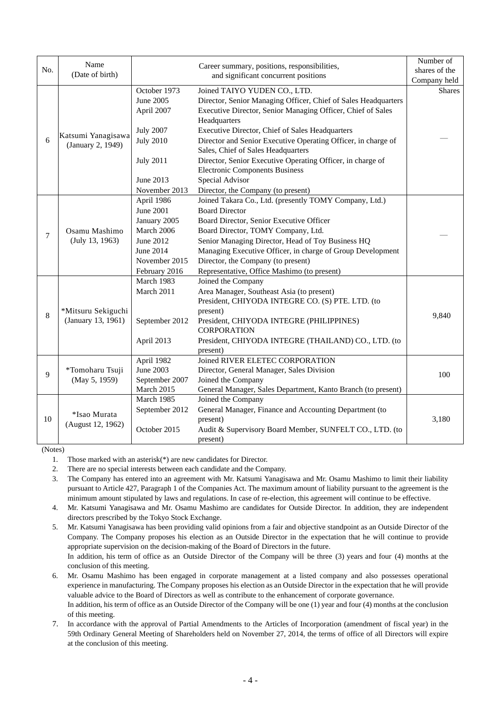| No.            | Name                                     |                                                                                                                   | Career summary, positions, responsibilities,                                                                                                                                                                                                                                                                                                                              | Number of<br>shares of the |
|----------------|------------------------------------------|-------------------------------------------------------------------------------------------------------------------|---------------------------------------------------------------------------------------------------------------------------------------------------------------------------------------------------------------------------------------------------------------------------------------------------------------------------------------------------------------------------|----------------------------|
|                | (Date of birth)                          |                                                                                                                   | and significant concurrent positions                                                                                                                                                                                                                                                                                                                                      | Company held               |
|                |                                          | October 1973<br>June 2005<br>April 2007                                                                           | Joined TAIYO YUDEN CO., LTD.<br>Director, Senior Managing Officer, Chief of Sales Headquarters<br>Executive Director, Senior Managing Officer, Chief of Sales<br>Headquarters                                                                                                                                                                                             | <b>Shares</b>              |
| 6              | Katsumi Yanagisawa<br>(January 2, 1949)  | <b>July 2007</b><br><b>July 2010</b><br><b>July 2011</b>                                                          | Executive Director, Chief of Sales Headquarters<br>Director and Senior Executive Operating Officer, in charge of<br>Sales, Chief of Sales Headquarters<br>Director, Senior Executive Operating Officer, in charge of<br><b>Electronic Components Business</b>                                                                                                             |                            |
|                |                                          | June 2013<br>November 2013                                                                                        | Special Advisor<br>Director, the Company (to present)                                                                                                                                                                                                                                                                                                                     |                            |
| $\overline{7}$ | Osamu Mashimo<br>(July 13, 1963)         | April 1986<br>June 2001<br>January 2005<br>March 2006<br>June 2012<br>June 2014<br>November 2015<br>February 2016 | Joined Takara Co., Ltd. (presently TOMY Company, Ltd.)<br><b>Board Director</b><br>Board Director, Senior Executive Officer<br>Board Director, TOMY Company, Ltd.<br>Senior Managing Director, Head of Toy Business HQ<br>Managing Executive Officer, in charge of Group Development<br>Director, the Company (to present)<br>Representative, Office Mashimo (to present) |                            |
| 8              | *Mitsuru Sekiguchi<br>(January 13, 1961) | March 1983<br>March 2011<br>September 2012<br>April 2013                                                          | Joined the Company<br>Area Manager, Southeast Asia (to present)<br>President, CHIYODA INTEGRE CO. (S) PTE. LTD. (to<br>present)<br>President, CHIYODA INTEGRE (PHILIPPINES)<br><b>CORPORATION</b><br>President, CHIYODA INTEGRE (THAILAND) CO., LTD. (to<br>present)                                                                                                      | 9,840                      |
| 9              | *Tomoharu Tsuji<br>(May 5, 1959)         | April 1982<br><b>June 2003</b><br>September 2007<br>March 2015                                                    | Joined RIVER ELETEC CORPORATION<br>Director, General Manager, Sales Division<br>Joined the Company<br>General Manager, Sales Department, Kanto Branch (to present)                                                                                                                                                                                                        | 100                        |
| 10             | *Isao Murata<br>(August 12, 1962)        | March 1985<br>September 2012<br>October 2015                                                                      | Joined the Company<br>General Manager, Finance and Accounting Department (to<br>present)<br>Audit & Supervisory Board Member, SUNFELT CO., LTD. (to<br>present)                                                                                                                                                                                                           | 3,180                      |

(Notes)

1. Those marked with an asterisk(\*) are new candidates for Director.

2. There are no special interests between each candidate and the Company.

3. The Company has entered into an agreement with Mr. Katsumi Yanagisawa and Mr. Osamu Mashimo to limit their liability pursuant to Article 427, Paragraph 1 of the Companies Act. The maximum amount of liability pursuant to the agreement is the minimum amount stipulated by laws and regulations. In case of re-election, this agreement will continue to be effective.

4. Mr. Katsumi Yanagisawa and Mr. Osamu Mashimo are candidates for Outside Director. In addition, they are independent directors prescribed by the Tokyo Stock Exchange.

5. Mr. Katsumi Yanagisawa has been providing valid opinions from a fair and objective standpoint as an Outside Director of the Company. The Company proposes his election as an Outside Director in the expectation that he will continue to provide appropriate supervision on the decision-making of the Board of Directors in the future. In addition, his term of office as an Outside Director of the Company will be three (3) years and four (4) months at the conclusion of this meeting.

6. Mr. Osamu Mashimo has been engaged in corporate management at a listed company and also possesses operational experience in manufacturing. The Company proposes his election as an Outside Director in the expectation that he will provide valuable advice to the Board of Directors as well as contribute to the enhancement of corporate governance. In addition, his term of office as an Outside Director of the Company will be one (1) year and four (4) months at the conclusion

of this meeting. 7. In accordance with the approval of Partial Amendments to the Articles of Incorporation (amendment of fiscal year) in the

59th Ordinary General Meeting of Shareholders held on November 27, 2014, the terms of office of all Directors will expire at the conclusion of this meeting.